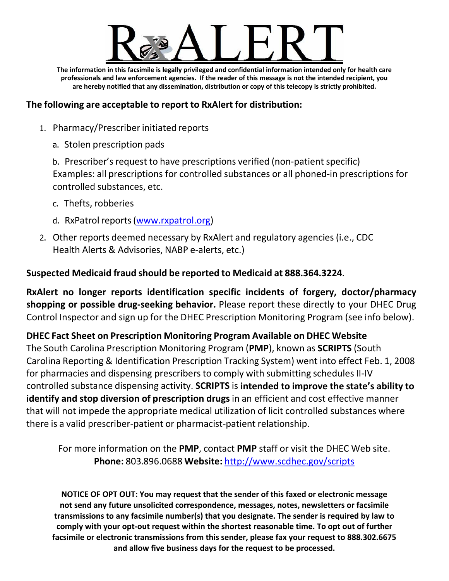

**The information in this facsimile is legally privileged and confidential information intended only for health care professionals and law enforcement agencies. If the reader of this message is not the intended recipient, you are hereby notified that any dissemination, distribution or copy of this telecopy is strictly prohibited.**

### **The following are acceptable to report to RxAlert for distribution:**

- 1. Pharmacy/Prescriber initiated reports
	- a. Stolen prescription pads

b. Prescriber's request to have prescriptions verified (non‐patient specific) Examples: all prescriptions for controlled substances or all phoned‐in prescriptions for controlled substances, etc.

- c. Thefts, robberies
- d. RxPatrol reports (www.rxpatrol.org)
- 2. Other reports deemed necessary by RxAlert and regulatory agencies (i.e., CDC Health Alerts & Advisories, NABP e‐alerts, etc.)

## **Suspected Medicaid fraud should be reported to Medicaid at 888.364.3224**.

**RxAlert no longer reports identification specific incidents of forgery, doctor/pharmacy shopping or possible drug‐seeking behavior.** Please report these directly to your DHEC Drug Control Inspector and sign up for the DHEC Prescription Monitoring Program (see info below).

# **DHEC Fact Sheet on Prescription Monitoring Program Available on DHEC Website**

The South Carolina Prescription Monitoring Program (**PMP**), known as **SCRIPTS** (South Carolina Reporting & Identification Prescription Tracking System) went into effect Feb. 1, 2008 for pharmacies and dispensing prescribers to comply with submitting schedules II‐IV controlled substance dispensing activity. **SCRIPTS** is **intended to improve the state's ability to identify and stop diversion of prescription drugs** in an efficient and cost effective manner that will not impede the appropriate medical utilization of licit controlled substances where there is a valid prescriber‐patient or pharmacist‐patient relationship.

For more information on the **PMP**, contact **PMP** staff or visit the DHEC Web site. **Phone:** 803.896.0688 **Website:** http://www.scdhec.gov/scripts

**NOTICE OF OPT OUT: You may request that the sender of this faxed or electronic message not send any future unsolicited correspondence, messages, notes, newsletters or facsimile transmissions to any facsimile number(s) that you designate. The sender is required by law to comply with your opt‐out request within the shortest reasonable time. To opt out of further facsimile or electronic transmissions from this sender, please fax your request to 888.302.6675 and allow five business days for the request to be processed.**